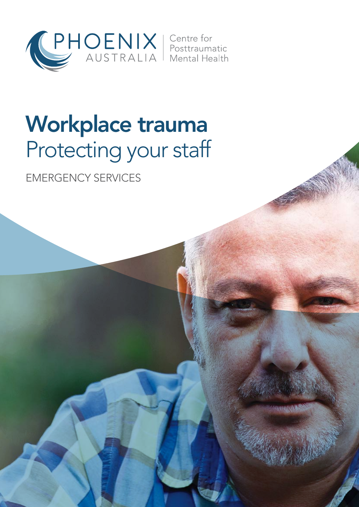

## Workplace trauma Protecting your staff

EMERGENCY SERVICES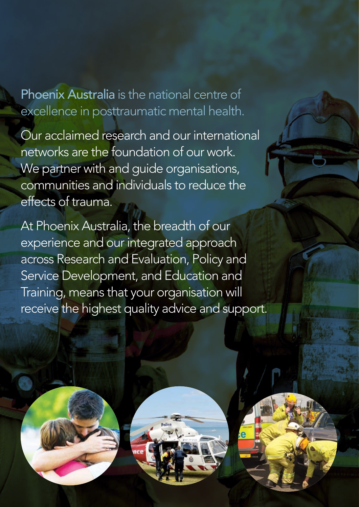Phoenix Australia is the national centre of excellence in posttraumatic mental health.

Our acclaimed research and our international networks are the foundation of our work. We partner with and guide organisations, communities and individuals to reduce the effects of trauma.

At Phoenix Australia, the breadth of our experience and our integrated approach across Research and Evaluation, Policy and Service Development, and Education and Training, means that your organisation will receive the highest quality advice and support.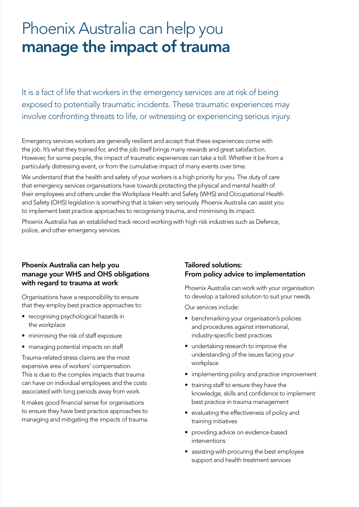## Phoenix Australia can help you manage the impact of trauma

It is a fact of life that workers in the emergency services are at risk of being exposed to potentially traumatic incidents. These traumatic experiences may involve confronting threats to life, or witnessing or experiencing serious injury.

Emergency services workers are generally resilient and accept that these experiences come with the job. It's what they trained for, and the job itself brings many rewards and great satisfaction. However, for some people, the impact of traumatic experiences can take a toll. Whether it be from a particularly distressing event, or from the cumulative impact of many events over time.

We understand that the health and safety of your workers is a high priority for you. The duty of care that emergency services organisations have towards protecting the physical and mental health of their employees and others under the Workplace Health and Safety (WHS) and Occupational Health and Safety (OHS) legislation is something that is taken very seriously. Phoenix Australia can assist you to implement best practice approaches to recognising trauma, and minimising its impact.

Phoenix Australia has an established track record working with high risk industries such as Defence, police, and other emergency services.

## Phoenix Australia can help you manage your WHS and OHS obligations with regard to trauma at work

Organisations have a responsibility to ensure that they employ best practice approaches to:

- • recognising psychological hazards in the workplace
- • minimising the risk of staff exposure
- managing potential impacts on staff

Trauma-related stress claims are the most expensive area of workers' compensation. This is due to the complex impacts that trauma can have on individual employees and the costs associated with long periods away from work.

It makes good financial sense for organisations to ensure they have best practice approaches to managing and mitigating the impacts of trauma.

## Tailored solutions: From policy advice to implementation

Phoenix Australia can work with your organisation to develop a tailored solution to suit your needs.

Our services include:

- benchmarking your organisation's policies and procedures against international, industry-specific best practices
- undertaking research to improve the understanding of the issues facing your workplace
- implementing policy and practice improvement
- • training staff to ensure they have the knowledge, skills and confidence to implement best practice in trauma management
- evaluating the effectiveness of policy and training initiatives
- providing advice on evidence-based interventions
- assisting with procuring the best employee support and health treatment services